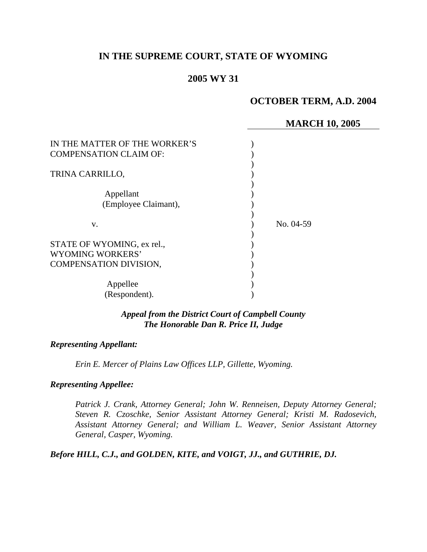# **IN THE SUPREME COURT, STATE OF WYOMING**

## **2005 WY 31**

# **OCTOBER TERM, A.D. 2004**

## **MARCH 10, 2005**

| IN THE MATTER OF THE WORKER'S<br><b>COMPENSATION CLAIM OF:</b>           |           |
|--------------------------------------------------------------------------|-----------|
| TRINA CARRILLO,                                                          |           |
| Appellant<br>(Employee Claimant),                                        |           |
| V.                                                                       | No. 04-59 |
| STATE OF WYOMING, ex rel.,<br>WYOMING WORKERS'<br>COMPENSATION DIVISION, |           |
| Appellee<br>(Respondent).                                                |           |

### *Appeal from the District Court of Campbell County The Honorable Dan R. Price II, Judge*

#### *Representing Appellant:*

*Erin E. Mercer of Plains Law Offices LLP, Gillette, Wyoming.* 

### *Representing Appellee:*

*Patrick J. Crank, Attorney General; John W. Renneisen, Deputy Attorney General; Steven R. Czoschke, Senior Assistant Attorney General; Kristi M. Radosevich, Assistant Attorney General; and William L. Weaver, Senior Assistant Attorney General, Casper, Wyoming.* 

*Before HILL, C.J., and GOLDEN, KITE, and VOIGT, JJ., and GUTHRIE, DJ.*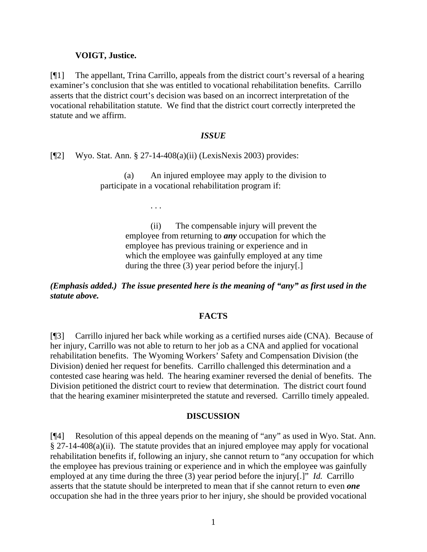### **VOIGT, Justice.**

[¶1] The appellant, Trina Carrillo, appeals from the district court's reversal of a hearing examiner's conclusion that she was entitled to vocational rehabilitation benefits. Carrillo asserts that the district court's decision was based on an incorrect interpretation of the vocational rehabilitation statute. We find that the district court correctly interpreted the statute and we affirm.

### *ISSUE*

[¶2] Wyo. Stat. Ann. § 27-14-408(a)(ii) (LexisNexis 2003) provides:

(a) An injured employee may apply to the division to participate in a vocational rehabilitation program if:

. . .

(ii) The compensable injury will prevent the employee from returning to *any* occupation for which the employee has previous training or experience and in which the employee was gainfully employed at any time during the three (3) year period before the injury[.]

*(Emphasis added.) The issue presented here is the meaning of "any" as first used in the statute above.* 

## **FACTS**

[¶3] Carrillo injured her back while working as a certified nurses aide (CNA). Because of her injury, Carrillo was not able to return to her job as a CNA and applied for vocational rehabilitation benefits. The Wyoming Workers' Safety and Compensation Division (the Division) denied her request for benefits. Carrillo challenged this determination and a contested case hearing was held. The hearing examiner reversed the denial of benefits. The Division petitioned the district court to review that determination. The district court found that the hearing examiner misinterpreted the statute and reversed. Carrillo timely appealed.

#### **DISCUSSION**

[¶4] Resolution of this appeal depends on the meaning of "any" as used in Wyo. Stat. Ann. § 27-14-408(a)(ii). The statute provides that an injured employee may apply for vocational rehabilitation benefits if, following an injury, she cannot return to "any occupation for which the employee has previous training or experience and in which the employee was gainfully employed at any time during the three (3) year period before the injury[.]" *Id.* Carrillo asserts that the statute should be interpreted to mean that if she cannot return to even *one* occupation she had in the three years prior to her injury, she should be provided vocational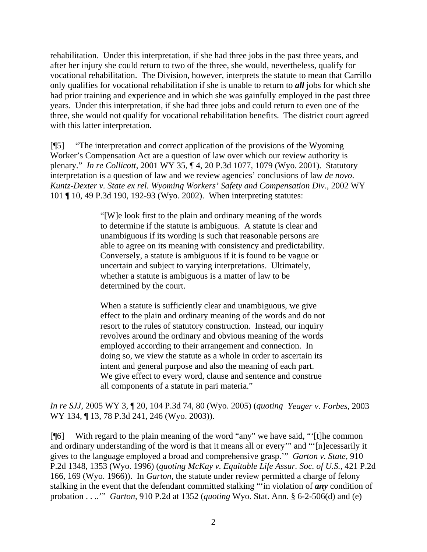rehabilitation. Under this interpretation, if she had three jobs in the past three years, and after her injury she could return to two of the three, she would, nevertheless, qualify for vocational rehabilitation. The Division, however, interprets the statute to mean that Carrillo only qualifies for vocational rehabilitation if she is unable to return to *all* jobs for which she had prior training and experience and in which she was gainfully employed in the past three years. Under this interpretation, if she had three jobs and could return to even one of the three, she would not qualify for vocational rehabilitation benefits. The district court agreed with this latter interpretation.

[¶5] "The interpretation and correct application of the provisions of the Wyoming Worker's Compensation Act are a question of law over which our review authority is plenary." *In re Collicott*, 2001 WY 35, ¶ 4, 20 P.3d 1077, 1079 (Wyo. 2001). Statutory interpretation is a question of law and we review agencies' conclusions of law *de novo*. *Kuntz-Dexter v. State ex rel. Wyoming Workers' Safety and Compensation Div.,* 2002 WY 101 ¶ 10, 49 P.3d 190, 192-93 (Wyo. 2002). When interpreting statutes:

> "[W]e look first to the plain and ordinary meaning of the words to determine if the statute is ambiguous. A statute is clear and unambiguous if its wording is such that reasonable persons are able to agree on its meaning with consistency and predictability. Conversely, a statute is ambiguous if it is found to be vague or uncertain and subject to varying interpretations. Ultimately, whether a statute is ambiguous is a matter of law to be determined by the court.

> When a statute is sufficiently clear and unambiguous, we give effect to the plain and ordinary meaning of the words and do not resort to the rules of statutory construction. Instead, our inquiry revolves around the ordinary and obvious meaning of the words employed according to their arrangement and connection. In doing so, we view the statute as a whole in order to ascertain its intent and general purpose and also the meaning of each part. We give effect to every word, clause and sentence and construe all components of a statute in pari materia."

*In re SJJ*, 2005 WY 3, ¶ 20, 104 P.3d 74, 80 (Wyo. 2005) (*quoting Yeager v. Forbes,* 2003 WY 134, ¶ 13, 78 P.3d 241, 246 (Wyo. 2003)).

[¶6] With regard to the plain meaning of the word "any" we have said, "'[t]he common and ordinary understanding of the word is that it means all or every'" and "'[n]ecessarily it gives to the language employed a broad and comprehensive grasp.'" *Garton v. State,* 910 P.2d 1348, 1353 (Wyo. 1996) (*quoting McKay v. Equitable Life Assur. Soc. of U.S.,* 421 P.2d 166, 169 (Wyo. 1966)). In *Garton,* the statute under review permitted a charge of felony stalking in the event that the defendant committed stalking "'in violation of *any* condition of probation . . ..'" *Garton,* 910 P.2d at 1352 (*quoting* Wyo. Stat. Ann. § 6-2-506(d) and (e)